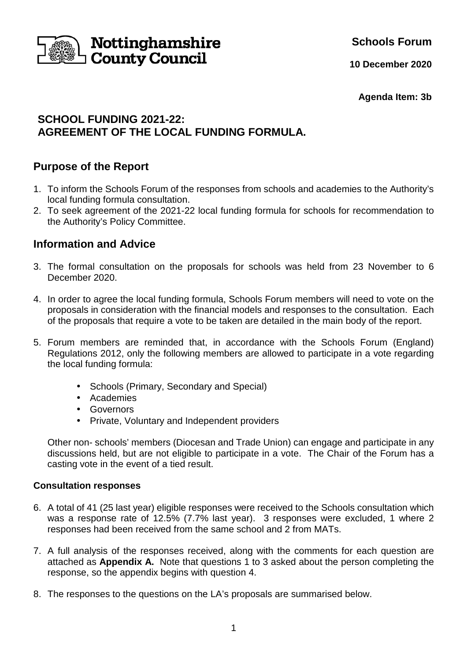

**Schools Forum**

**10 December 2020**

**Agenda Item: 3b** 

## **SCHOOL FUNDING 2021-22: AGREEMENT OF THE LOCAL FUNDING FORMULA.**

## **Purpose of the Report**

- 1. To inform the Schools Forum of the responses from schools and academies to the Authority's local funding formula consultation.
- 2. To seek agreement of the 2021-22 local funding formula for schools for recommendation to the Authority's Policy Committee.

# **Information and Advice**

- 3. The formal consultation on the proposals for schools was held from 23 November to 6 December 2020.
- 4. In order to agree the local funding formula, Schools Forum members will need to vote on the proposals in consideration with the financial models and responses to the consultation. Each of the proposals that require a vote to be taken are detailed in the main body of the report.
- 5. Forum members are reminded that, in accordance with the Schools Forum (England) Regulations 2012, only the following members are allowed to participate in a vote regarding the local funding formula:
	- Schools (Primary, Secondary and Special)
	- Academies
	- Governors
	- Private, Voluntary and Independent providers

 Other non- schools' members (Diocesan and Trade Union) can engage and participate in any discussions held, but are not eligible to participate in a vote. The Chair of the Forum has a casting vote in the event of a tied result.

## **Consultation responses**

- 6. A total of 41 (25 last year) eligible responses were received to the Schools consultation which was a response rate of 12.5% (7.7% last year). 3 responses were excluded, 1 where 2 responses had been received from the same school and 2 from MATs.
- 7. A full analysis of the responses received, along with the comments for each question are attached as **Appendix A.** Note that questions 1 to 3 asked about the person completing the response, so the appendix begins with question 4.
- 8. The responses to the questions on the LA's proposals are summarised below.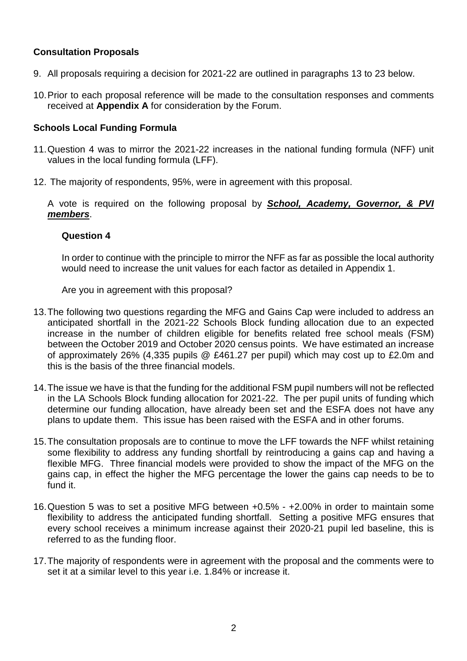### **Consultation Proposals**

- 9. All proposals requiring a decision for 2021-22 are outlined in paragraphs 13 to 23 below.
- 10. Prior to each proposal reference will be made to the consultation responses and comments received at **Appendix A** for consideration by the Forum.

#### **Schools Local Funding Formula**

- 11. Question 4 was to mirror the 2021-22 increases in the national funding formula (NFF) unit values in the local funding formula (LFF).
- 12. The majority of respondents, 95%, were in agreement with this proposal.

A vote is required on the following proposal by **School, Academy, Governor, & PVI members**.

#### **Question 4**

In order to continue with the principle to mirror the NFF as far as possible the local authority would need to increase the unit values for each factor as detailed in Appendix 1.

Are you in agreement with this proposal?

- 13. The following two questions regarding the MFG and Gains Cap were included to address an anticipated shortfall in the 2021-22 Schools Block funding allocation due to an expected increase in the number of children eligible for benefits related free school meals (FSM) between the October 2019 and October 2020 census points. We have estimated an increase of approximately 26% (4,335 pupils @ £461.27 per pupil) which may cost up to £2.0m and this is the basis of the three financial models.
- 14. The issue we have is that the funding for the additional FSM pupil numbers will not be reflected in the LA Schools Block funding allocation for 2021-22. The per pupil units of funding which determine our funding allocation, have already been set and the ESFA does not have any plans to update them. This issue has been raised with the ESFA and in other forums.
- 15. The consultation proposals are to continue to move the LFF towards the NFF whilst retaining some flexibility to address any funding shortfall by reintroducing a gains cap and having a flexible MFG. Three financial models were provided to show the impact of the MFG on the gains cap, in effect the higher the MFG percentage the lower the gains cap needs to be to fund it.
- 16. Question 5 was to set a positive MFG between +0.5% +2.00% in order to maintain some flexibility to address the anticipated funding shortfall. Setting a positive MFG ensures that every school receives a minimum increase against their 2020-21 pupil led baseline, this is referred to as the funding floor.
- 17. The majority of respondents were in agreement with the proposal and the comments were to set it at a similar level to this year i.e. 1.84% or increase it.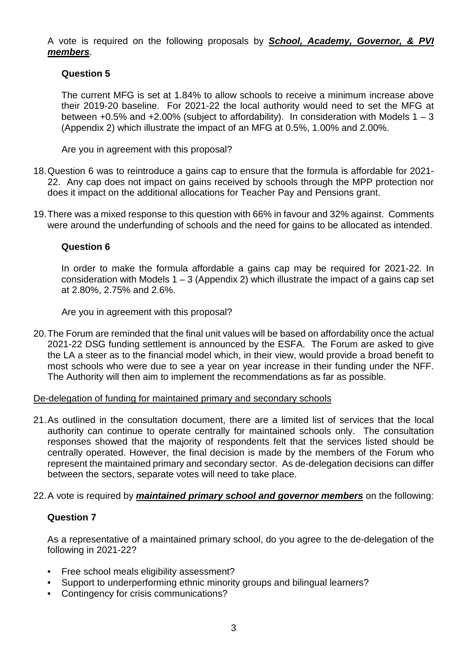A vote is required on the following proposals by **School, Academy, Governor, & PVI members**.

### **Question 5**

The current MFG is set at 1.84% to allow schools to receive a minimum increase above their 2019-20 baseline. For 2021-22 the local authority would need to set the MFG at between  $+0.5\%$  and  $+2.00\%$  (subject to affordability). In consideration with Models 1 – 3 (Appendix 2) which illustrate the impact of an MFG at 0.5%, 1.00% and 2.00%.

Are you in agreement with this proposal?

- 18. Question 6 was to reintroduce a gains cap to ensure that the formula is affordable for 2021- 22. Any cap does not impact on gains received by schools through the MPP protection nor does it impact on the additional allocations for Teacher Pay and Pensions grant.
- 19. There was a mixed response to this question with 66% in favour and 32% against. Comments were around the underfunding of schools and the need for gains to be allocated as intended.

#### **Question 6**

In order to make the formula affordable a gains cap may be required for 2021-22. In consideration with Models  $1 - 3$  (Appendix 2) which illustrate the impact of a gains cap set at 2.80%, 2.75% and 2.6%.

Are you in agreement with this proposal?

20. The Forum are reminded that the final unit values will be based on affordability once the actual 2021-22 DSG funding settlement is announced by the ESFA. The Forum are asked to give the LA a steer as to the financial model which, in their view, would provide a broad benefit to most schools who were due to see a year on year increase in their funding under the NFF. The Authority will then aim to implement the recommendations as far as possible.

De-delegation of funding for maintained primary and secondary schools

- 21. As outlined in the consultation document, there are a limited list of services that the local authority can continue to operate centrally for maintained schools only. The consultation responses showed that the majority of respondents felt that the services listed should be centrally operated. However, the final decision is made by the members of the Forum who represent the maintained primary and secondary sector. As de-delegation decisions can differ between the sectors, separate votes will need to take place.
- 22. A vote is required by **maintained primary school and governor members** on the following:

#### **Question 7**

As a representative of a maintained primary school, do you agree to the de-delegation of the following in 2021-22?

- Free school meals eligibility assessment?
- Support to underperforming ethnic minority groups and bilingual learners?
- Contingency for crisis communications?